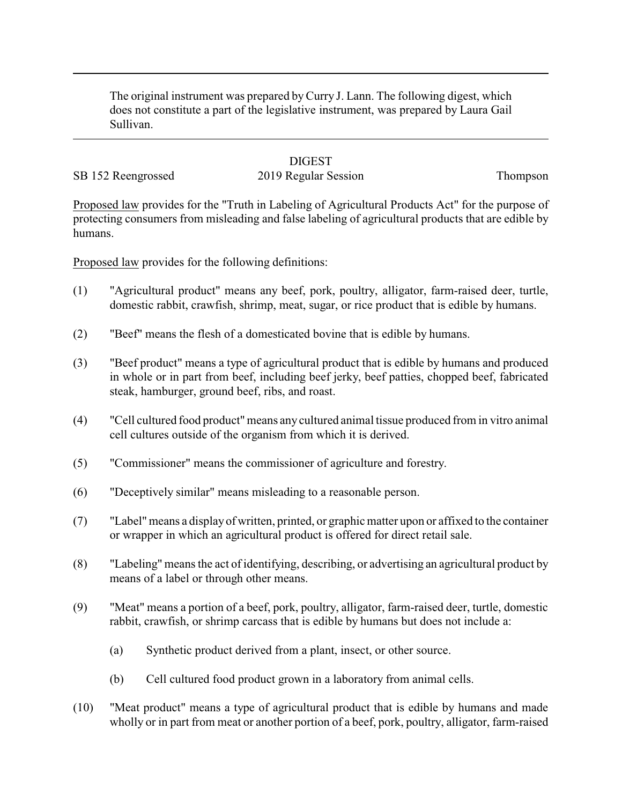The original instrument was prepared byCurry J. Lann. The following digest, which does not constitute a part of the legislative instrument, was prepared by Laura Gail Sullivan.

# **DIGEST**

# SB 152 Reengrossed 2019 Regular Session Thompson

Proposed law provides for the "Truth in Labeling of Agricultural Products Act" for the purpose of protecting consumers from misleading and false labeling of agricultural products that are edible by humans.

Proposed law provides for the following definitions:

- (1) "Agricultural product" means any beef, pork, poultry, alligator, farm-raised deer, turtle, domestic rabbit, crawfish, shrimp, meat, sugar, or rice product that is edible by humans.
- (2) "Beef" means the flesh of a domesticated bovine that is edible by humans.
- (3) "Beef product" means a type of agricultural product that is edible by humans and produced in whole or in part from beef, including beef jerky, beef patties, chopped beef, fabricated steak, hamburger, ground beef, ribs, and roast.
- (4) "Cell cultured food product"means any cultured animal tissue produced from in vitro animal cell cultures outside of the organism from which it is derived.
- (5) "Commissioner" means the commissioner of agriculture and forestry.
- (6) "Deceptively similar" means misleading to a reasonable person.
- (7) "Label"means a displayof written, printed, or graphic matter upon or affixed to the container or wrapper in which an agricultural product is offered for direct retail sale.
- (8) "Labeling" means the act of identifying, describing, or advertising an agricultural product by means of a label or through other means.
- (9) "Meat" means a portion of a beef, pork, poultry, alligator, farm-raised deer, turtle, domestic rabbit, crawfish, or shrimp carcass that is edible by humans but does not include a:
	- (a) Synthetic product derived from a plant, insect, or other source.
	- (b) Cell cultured food product grown in a laboratory from animal cells.
- (10) "Meat product" means a type of agricultural product that is edible by humans and made wholly or in part from meat or another portion of a beef, pork, poultry, alligator, farm-raised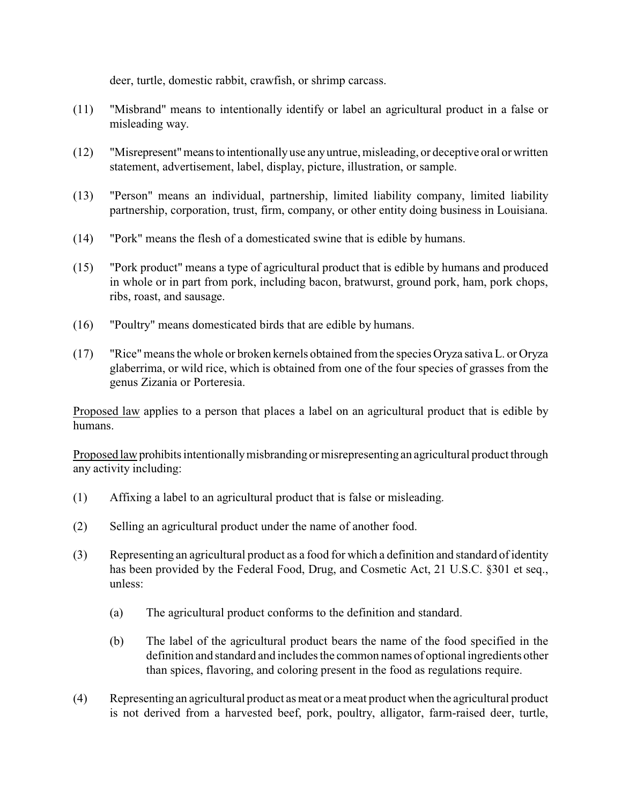deer, turtle, domestic rabbit, crawfish, or shrimp carcass.

- (11) "Misbrand" means to intentionally identify or label an agricultural product in a false or misleading way.
- (12) "Misrepresent"meansto intentionallyuse anyuntrue, misleading, or deceptive oral or written statement, advertisement, label, display, picture, illustration, or sample.
- (13) "Person" means an individual, partnership, limited liability company, limited liability partnership, corporation, trust, firm, company, or other entity doing business in Louisiana.
- (14) "Pork" means the flesh of a domesticated swine that is edible by humans.
- (15) "Pork product" means a type of agricultural product that is edible by humans and produced in whole or in part from pork, including bacon, bratwurst, ground pork, ham, pork chops, ribs, roast, and sausage.
- (16) "Poultry" means domesticated birds that are edible by humans.
- (17) "Rice"means the whole or broken kernels obtained from the species Oryza sativa L. or Oryza glaberrima, or wild rice, which is obtained from one of the four species of grasses from the genus Zizania or Porteresia.

Proposed law applies to a person that places a label on an agricultural product that is edible by humans.

Proposed lawprohibits intentionallymisbranding or misrepresenting an agricultural product through any activity including:

- (1) Affixing a label to an agricultural product that is false or misleading.
- (2) Selling an agricultural product under the name of another food.
- (3) Representing an agricultural product as a food for which a definition and standard of identity has been provided by the Federal Food, Drug, and Cosmetic Act, 21 U.S.C. §301 et seq., unless:
	- (a) The agricultural product conforms to the definition and standard.
	- (b) The label of the agricultural product bears the name of the food specified in the definition and standard and includes the common names of optional ingredients other than spices, flavoring, and coloring present in the food as regulations require.
- (4) Representing an agricultural product as meat or a meat product when the agricultural product is not derived from a harvested beef, pork, poultry, alligator, farm-raised deer, turtle,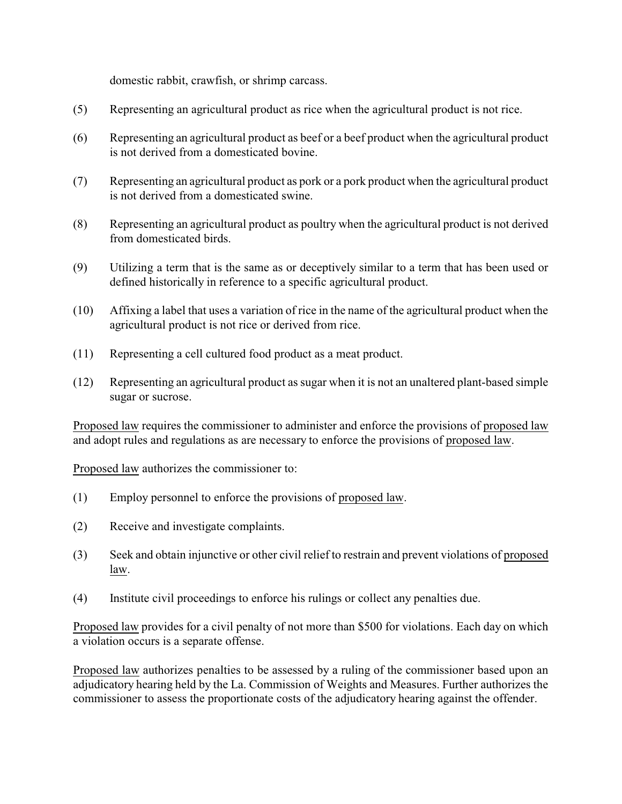domestic rabbit, crawfish, or shrimp carcass.

- (5) Representing an agricultural product as rice when the agricultural product is not rice.
- (6) Representing an agricultural product as beef or a beef product when the agricultural product is not derived from a domesticated bovine.
- (7) Representing an agricultural product as pork or a pork product when the agricultural product is not derived from a domesticated swine.
- (8) Representing an agricultural product as poultry when the agricultural product is not derived from domesticated birds.
- (9) Utilizing a term that is the same as or deceptively similar to a term that has been used or defined historically in reference to a specific agricultural product.
- (10) Affixing a label that uses a variation of rice in the name of the agricultural product when the agricultural product is not rice or derived from rice.
- (11) Representing a cell cultured food product as a meat product.
- (12) Representing an agricultural product as sugar when it is not an unaltered plant-based simple sugar or sucrose.

Proposed law requires the commissioner to administer and enforce the provisions of proposed law and adopt rules and regulations as are necessary to enforce the provisions of proposed law.

Proposed law authorizes the commissioner to:

- (1) Employ personnel to enforce the provisions of proposed law.
- (2) Receive and investigate complaints.
- (3) Seek and obtain injunctive or other civil relief to restrain and prevent violations of proposed law.
- (4) Institute civil proceedings to enforce his rulings or collect any penalties due.

Proposed law provides for a civil penalty of not more than \$500 for violations. Each day on which a violation occurs is a separate offense.

Proposed law authorizes penalties to be assessed by a ruling of the commissioner based upon an adjudicatory hearing held by the La. Commission of Weights and Measures. Further authorizes the commissioner to assess the proportionate costs of the adjudicatory hearing against the offender.